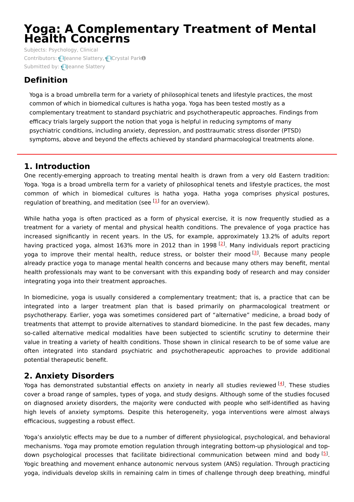# **Yoga: A Complementary Treatment of Mental Health Concerns**

Subjects: [Psychology,](https://encyclopedia.pub/item/subject/249) Clinical Contributors: **Q**eanne [Slattery](https://sciprofiles.com/profile/1646720), **Q[Crystal](https://sciprofiles.com/profile/448293) ParkO** Submitted by: **Jeanne [Slattery](https://sciprofiles.com/profile/1646720)** 

## **Definition**

Yoga is a broad umbrella term for a variety of philosophical tenets and lifestyle practices, the most common of which in biomedical cultures is hatha yoga. Yoga has been tested mostly as a complementary treatment to standard psychiatric and psychotherapeutic approaches. Findings from efficacy trials largely support the notion that yoga is helpful in reducing symptoms of many psychiatric conditions, including anxiety, depression, and posttraumatic stress disorder (PTSD) symptoms, above and beyond the effects achieved by standard pharmacological treatments alone.

## **1. Introduction**

One recently-emerging approach to treating mental health is drawn from a very old Eastern tradition: Yoga. Yoga is a broad umbrella term for a variety of philosophical tenets and lifestyle practices, the most common of which in biomedical cultures is hatha yoga. Hatha yoga comprises physical postures, regulation of breathing, and meditation (see <sup>[[1](#page-3-0)]</sup> for an overview).

While hatha yoga is often practiced as a form of physical exercise, it is now frequently studied as a treatment for a variety of mental and physical health conditions. The prevalence of yoga practice has increased significantly in recent years. In the US, for example, approximately 13.2% of adults report having practiced yoga, almost 163% more in 2012 than in 1998 <sup>[\[2](#page-3-1)]</sup>. Many individuals report practicing yoga to improve their mental health, reduce stress, or bolster their mood <sup>[[3](#page-3-2)]</sup>. Because many people already practice yoga to manage mental health concerns and because many others may benefit, mental health professionals may want to be conversant with this expanding body of research and may consider integrating yoga into their treatment approaches.

In biomedicine, yoga is usually considered a complementary treatment; that is, a practice that can be integrated into a larger treatment plan that is based primarily on pharmacological treatment or psychotherapy. Earlier, yoga was sometimes considered part of "alternative" medicine, a broad body of treatments that attempt to provide alternatives to standard biomedicine. In the past few decades, many so-called alternative medical modalities have been subjected to scientific scrutiny to determine their value in treating a variety of health conditions. Those shown in clinical research to be of some value are often integrated into standard psychiatric and psychotherapeutic approaches to provide additional potential therapeutic benefit.

## **2. Anxiety Disorders**

Yoga has demonstrated substantial effects on anxiety in nearly all studies reviewed <sup>[\[4](#page-3-3)]</sup>. These studies cover a broad range of samples, types of yoga, and study designs. Although some of the studies focused on diagnosed anxiety disorders, the majority were conducted with people who self-identified as having high levels of anxiety symptoms. Despite this heterogeneity, yoga interventions were almost always efficacious, suggesting a robust effect.

Yoga's anxiolytic effects may be due to a number of different physiological, psychological, and behavioral mechanisms. Yoga may promote emotion regulation through integrating bottom-up physiological and top-down psychological processes that facilitate bidirectional communication between mind and body <sup>[\[5](#page-3-4)]</sup>. Yogic breathing and movement enhance autonomic nervous system (ANS) regulation. Through practicing yoga, individuals develop skills in remaining calm in times of challenge through deep breathing, mindful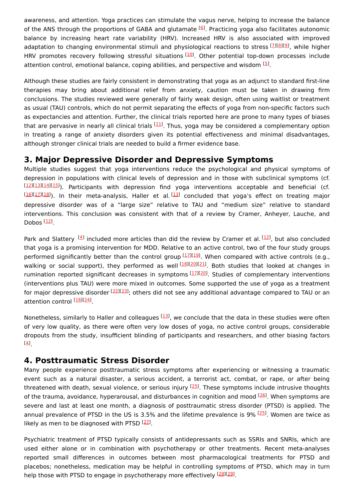awareness, and attention. Yoga practices can stimulate the vagus nerve, helping to increase the balance of the ANS through the proportions of GABA and glutamate <sup>[[6](#page-3-5)]</sup>. Practicing yoga also facilitates autonomic balance by increasing heart rate variability (HRV). Increased HRV is also associated with improved adaptation to changing environmental stimuli and physiological reactions to stress [ZJ[\[8](#page-3-7)J[\[9](#page-3-8)], while higher HRV promotes recovery following stressful situations [[10](#page-3-9)]. Other potential top-down processes include attention control, emotional balance, coping abilities, and perspective and wisdom <sup>[[5](#page-3-4)]</sup>.

Although these studies are fairly consistent in demonstrating that yoga as an adjunct to standard first-line therapies may bring about additional relief from anxiety, caution must be taken in drawing firm conclusions. The studies reviewed were generally of fairly weak design, often using waitlist or treatment as usual (TAU) controls, which do not permit separating the effects of yoga from non-specific factors such as expectancies and attention. Further, the clinical trials reported here are prone to many types of biases that are pervasive in nearly all clinical trials <sup>[[11\]](#page-3-10)</sup>. Thus, yoga may be considered a complementary option in treating a range of anxiety disorders given its potential effectiveness and minimal disadvantages, although stronger clinical trials are needed to build a firmer evidence base.

#### **3. Major Depressive Disorder and Depressive Symptoms**

Multiple studies suggest that yoga interventions reduce the psychological and physical symptoms of depression in populations with clinical levels of depression and in those with subclinical symptoms (cf. [[12](#page-3-11)][\[13\]](#page-3-12)[[14](#page-3-13)][\[15\]](#page-3-14)). Participants with depression find yoga interventions acceptable and beneficial (cf. [[16](#page-3-15)][\[17\]](#page-3-16)[[18](#page-3-17)]). In their meta-analysis, Haller et al.<sup>[\[13](#page-3-12)]</sup> concluded that yoga's effect on treating major depressive disorder was of a "large size" relative to TAU and "medium size" relative to standard interventions. This conclusion was consistent with that of a review by Cramer, Anheyer, Lauche, and Dobos <sup>[<u>12</u>]</sup>.

Park and Slattery <sup>[[4](#page-3-3)]</sup> included more articles than did the review by Cramer et al. [\[12](#page-3-11)], but also concluded that yoga is a promising intervention for MDD. Relative to an active control, two of the four study groups performed significantly better than the control group [[17\]](#page-3-16)[[19\]](#page-4-0). When compared with active controls (e.g., walking or social support), they performed as well<sup>[\[18](#page-3-17)][[20](#page-4-1)][\[21](#page-4-2)]</sup>. Both studies that looked at changes in rumination reported significant decreases in symptoms [[17\]](#page-3-16)[[20\]](#page-4-1). Studies of complementary interventions (interventions plus TAU) were more mixed in outcomes. Some supported the use of yoga as a treatment for major depressive disorder <sup>[\[22](#page-4-3)][\[23](#page-4-4)]</sup>; others did not see any additional advantage compared to TAU or an attention control [[16\]](#page-3-15)[[24\]](#page-4-5)

Nonetheless, similarly to Haller and colleagues <a>[\[13](#page-3-12)]</a>, we conclude that the data in these studies were often of very low quality, as there were often very low doses of yoga, no active control groups, considerable dropouts from the study, insufficient blinding of participants and researchers, and other biasing factors . [[4](#page-3-3)]

### **4. Posttraumatic Stress Disorder**

Many people experience posttraumatic stress symptoms after experiencing or witnessing a traumatic event such as a natural disaster, a serious accident, a terrorist act, combat, or rape, or after being threatened with death, sexual violence, or serious injury <sup>[\[25\]](#page-4-6)</sup>. These symptoms include intrusive thoughts of the trauma, avoidance, hyperarousal, and disturbances in cognition and mood <sup>[\[26\]](#page-4-7)</sup>. When symptoms are severe and last at least one month, a diagnosis of posttraumatic stress disorder (PTSD) is applied. The annual prevalence of PTSD in the US is 3.5% and the lifetime prevalence is 9% [[25](#page-4-6)]. Women are twice as likely as men to be diagnosed with PTSD [[27](#page-4-8)].

Psychiatric treatment of PTSD typically consists of antidepressants such as SSRIs and SNRIs, which are used either alone or in combination with psychotherapy or other treatments. Recent meta-analyses reported small differences in outcomes between most pharmacological treatments for PTSD and placebos; nonetheless, medication may be helpful in controlling symptoms of PTSD, which may in turn help those with PTSD to engage in psychotherapy more effectively [[28](#page-4-9)][\[29\]](#page-4-10).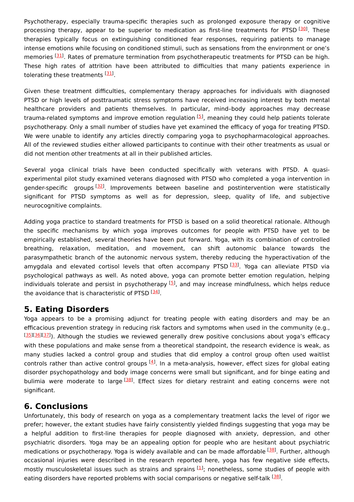Psychotherapy, especially trauma-specific therapies such as prolonged exposure therapy or cognitive processing therapy, appear to be superior to medication as first-line treatments for PTSD [[30](#page-4-11)]. These therapies typically focus on extinguishing conditioned fear responses, requiring patients to manage intense emotions while focusing on conditioned stimuli, such as sensations from the environment or one's memories [\[31](#page-4-12)]. Rates of premature termination from psychotherapeutic treatments for PTSD can be high. These high rates of attrition have been attributed to difficulties that many patients experience in tolerating these treatments [\[31](#page-4-12)].

Given these treatment difficulties, complementary therapy approaches for individuals with diagnosed PTSD or high levels of posttraumatic stress symptoms have received increasing interest by both mental healthcare providers and patients themselves. In particular, mind–body approaches may decrease trauma-related symptoms and improve emotion regulation <sup>[[5](#page-3-4)]</sup>, meaning they could help patients tolerate psychotherapy. Only a small number of studies have yet examined the efficacy of yoga for treating PTSD. We were unable to identify any articles directly comparing yoga to psychopharmacological approaches. All of the reviewed studies either allowed participants to continue with their other treatments as usual or did not mention other treatments at all in their published articles.

Several yoga clinical trials have been conducted specifically with veterans with PTSD. A quasiexperimental pilot study examined veterans diagnosed with PTSD who completed a yoga intervention in gender-specific groups <a>[[32](#page-4-13)]</a>. Improvements between baseline and postintervention were statistically significant for PTSD symptoms as well as for depression, sleep, quality of life, and subjective neurocognitive complaints.

Adding yoga practice to standard treatments for PTSD is based on a solid theoretical rationale. Although the specific mechanisms by which yoga improves outcomes for people with PTSD have yet to be empirically established, several theories have been put forward. Yoga, with its combination of controlled breathing, relaxation, meditation, and movement, can shift autonomic balance towards the parasympathetic branch of the autonomic nervous system, thereby reducing the hyperactivation of the amygdala and elevated cortisol levels that often accompany PTSD [\[33](#page-4-14)]. Yoga can alleviate PTSD via psychological pathways as well. As noted above, yoga can promote better emotion regulation, helping individuals tolerate and persist in psychotherapy  $[5]$  $[5]$ , and may increase mindfulness, which helps reduce the avoidance that is characteristic of PTSD [\[34\]](#page-4-15).

### **5. Eating Disorders**

Yoga appears to be a promising adjunct for treating people with eating disorders and may be an efficacious prevention strategy in reducing risk factors and symptoms when used in the community (e.g., [[35](#page-4-16)][\[36\]](#page-4-17)[[37](#page-4-18)]). Although the studies we reviewed generally drew positive conclusions about yoga's efficacy with these populations and make sense from a theoretical standpoint, the research evidence is weak, as many studies lacked a control group and studies that did employ a control group often used waitlist controls rather than active control groups <sup>[[4](#page-3-3)]</sup>. In a meta-analysis, however, effect sizes for global eating disorder psychopathology and body image concerns were small but significant, and for binge eating and bulimia were moderate to large <a>[[38](#page-4-19)]</a>. Effect sizes for dietary restraint and eating concerns were not significant.

### **6. Conclusions**

Unfortunately, this body of research on yoga as a complementary treatment lacks the level of rigor we prefer; however, the extant studies have fairly consistently yielded findings suggesting that yoga may be a helpful addition to first-line therapies for people diagnosed with anxiety, depression, and other psychiatric disorders. Yoga may be an appealing option for people who are hesitant about psychiatric medications or psychotherapy. Yoga is widely available and can be made affordable [\[38](#page-4-19)]. Further, although occasional injuries were described in the research reported here, yoga has few negative side effects, mostly musculoskeletal issues such as strains and sprains  $[1]$  $[1]$  $[1]$ ; nonetheless, some studies of people with eating disorders have reported problems with social comparisons or negative self-talk [[38](#page-4-19)].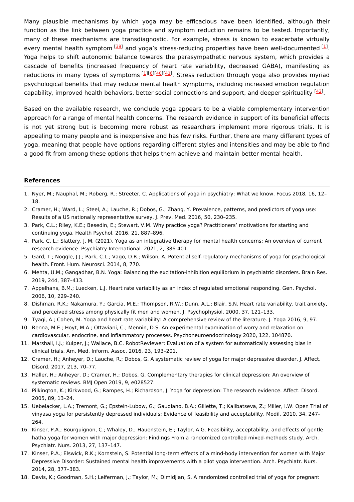Many plausible mechanisms by which yoga may be efficacious have been identified, although their function as the link between yoga practice and symptom reduction remains to be tested. Importantly, many of these mechanisms are transdiagnostic. For example, stress is known to exacerbate virtually every mental health symptom  $^{[39]}$  $^{[39]}$  $^{[39]}$  and yoga's stress-reducing properties have been well-documented  $^{[1]}$  $^{[1]}$  $^{[1]}$ . Yoga helps to shift autonomic balance towards the parasympathetic nervous system, which provides a cascade of benefits (increased frequency of heart rate variability, decreased GABA), manifesting as reductions in many types of symptoms [[1](#page-3-0)][\[6](#page-3-5)][\[40\]](#page-4-21)[[41](#page-4-22)]. Stress reduction through yoga also provides myriad psychological benefits that may reduce mental health symptoms, including increased emotion regulation capability, improved health behaviors, better social connections and support, and deeper spirituality <sup>[\[42](#page-4-23)]</sup>.

Based on the available research, we conclude yoga appears to be a viable complementary intervention approach for a range of mental health concerns. The research evidence in support of its beneficial effects is not yet strong but is becoming more robust as researchers implement more rigorous trials. It is appealing to many people and is inexpensive and has few risks. Further, there are many different types of yoga, meaning that people have options regarding different styles and intensities and may be able to find a good fit from among these options that helps them achieve and maintain better mental health.

#### **References**

- <span id="page-3-0"></span>1. Nyer, M.; Nauphal, M.; Roberg, R.; Streeter, C. Applications of yoga in psychiatry: What we know. Focus 2018, 16, 12– 18.
- <span id="page-3-1"></span>2. Cramer, H.; Ward, L.; Steel, A.; Lauche, R.; Dobos, G.; Zhang, Y. Prevalence, patterns, and predictors of yoga use: Results of a US nationally representative survey. J. Prev. Med. 2016, 50, 230–235.
- <span id="page-3-2"></span>3. Park, C.L.; Riley, K.E.; Besedin, E.; Stewart, V.M. Why practice yoga? Practitioners' motivations for starting and continuing yoga. Health Psychol. 2016, 21, 887–896.
- <span id="page-3-3"></span>4. Park, C. L.; Slattery, J. M. (2021). Yoga as an integrative therapy for mental health concerns: An overview of current research evidence. Psychiatry International. 2021, 2, 386-401.
- <span id="page-3-4"></span>5. Gard, T.; Noggle, J.J.; Park, C.L.; Vago, D.R.; Wilson, A. Potential self-regulatory mechanisms of yoga for psychological health. Front. Hum. Neurosci. 2014, 8, 770.
- <span id="page-3-5"></span>6. Mehta, U.M.; Gangadhar, B.N. Yoga: Balancing the excitation-inhibition equilibrium in psychiatric disorders. Brain Res. 2019, 244, 387–413.
- <span id="page-3-6"></span>7. Appelhans, B.M.; Luecken, L.J. Heart rate variability as an index of regulated emotional responding. Gen. Psychol. 2006, 10, 229–240.
- <span id="page-3-7"></span>8. Dishman, R.K.; Nakamura, Y.; Garcia, M.E.; Thompson, R.W.; Dunn, A.L.; Blair, S.N. Heart rate variability, trait anxiety, and perceived stress among physically fit men and women. J. Psychophysiol. 2000, 37, 121–133.
- <span id="page-3-8"></span>9. Tyagi, A.; Cohen, M. Yoga and heart rate variability: A comprehensive review of the literature. J. Yoga 2016, 9, 97.
- <span id="page-3-9"></span>10. Renna, M.E.; Hoyt, M.A.; Ottaviani, C.; Mennin, D.S. An experimental examination of worry and relaxation on cardiovascular, endocrine, and inflammatory processes. Psychoneuroendocrinology 2020, 122, 104870.
- <span id="page-3-10"></span>11. Marshall, I.J.; Kuiper, J.; Wallace, B.C. RobotReviewer: Evaluation of a system for automatically assessing bias in clinical trials. Am. Med. Inform. Assoc. 2016, 23, 193–201.
- <span id="page-3-11"></span>12. Cramer, H.; Anheyer, D.; Lauche, R.; Dobos, G. A systematic review of yoga for major depressive disorder. J. Affect. Disord. 2017, 213, 70–77.
- <span id="page-3-12"></span>13. Haller, H.; Anheyer, D.; Cramer, H.; Dobos, G. Complementary therapies for clinical depression: An overview of systematic reviews. BMJ Open 2019, 9, e028527.
- <span id="page-3-13"></span>14. Pilkington, K.; Kirkwood, G.; Rampes, H.; Richardson, J. Yoga for depression: The research evidence. Affect. Disord. 2005, 89, 13–24.
- <span id="page-3-14"></span>15. Uebelacker, L.A.; Tremont, G.; Epstein-Lubow, G.; Gaudiano, B.A.; Gillette, T.; Kalibatseva, Z.; Miller, I.W. Open Trial of vinyasa yoga for persistently depressed individuals: Evidence of feasibility and acceptability. Modif. 2010, 34, 247– 264.
- <span id="page-3-15"></span>16. Kinser, P.A.; Bourguignon, C.; Whaley, D.; Hauenstein, E.; Taylor, A.G. Feasibility, acceptability, and effects of gentle hatha yoga for women with major depression: Findings From a randomized controlled mixed-methods study. Arch. Psychiatr. Nurs. 2013, 27, 137–147.
- <span id="page-3-16"></span>17. Kinser, P.A.; Elswick, R.K.; Kornstein, S. Potential long-term effects of a mind-body intervention for women with Major Depressive Disorder: Sustained mental health improvements with a pilot yoga intervention. Arch. Psychiatr. Nurs. 2014, 28, 377–383.
- <span id="page-3-17"></span>18. Davis, K.; Goodman, S.H.; Leiferman, J.; Taylor, M.; Dimidjian, S. A randomized controlled trial of yoga for pregnant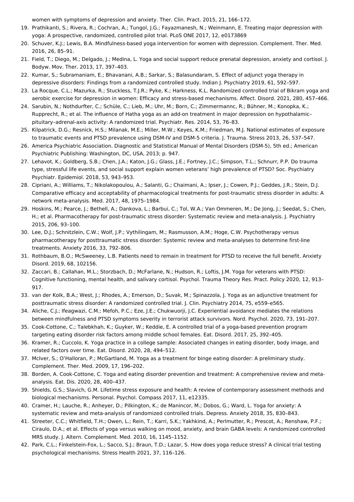<span id="page-4-0"></span>women with symptoms of depression and anxiety. Ther. Clin. Pract. 2015, 21, 166–172.

- 19. Prathikanti, S.; Rivera, R.; Cochran, A.; Tungol, J.G.; Fayazmanesh, N.; Weinmann, E. Treating major depression with yoga: A prospective, randomized, controlled pilot trial. PLoS ONE 2017, 12, e0173869
- <span id="page-4-1"></span>20. Schuver, K.J.; Lewis, B.A. Mindfulness-based yoga intervention for women with depression. Complement. Ther. Med. 2016, 26, 85–91.
- <span id="page-4-2"></span>21. Field, T.; Diego, M.; Delgado, J.; Medina, L. Yoga and social support reduce prenatal depression, anxiety and cortisol. J. Bodyw. Mov. Ther. 2013, 17, 397–403.
- <span id="page-4-3"></span>22. Kumar, S.; Subramaniam, E.; Bhavanani, A.B.; Sarkar, S.; Balasundaram, S. Effect of adjunct yoga therapy in depressive disorders: Findings from a randomized controlled study. Indian J. Psychiatry 2019, 61, 592–597.
- <span id="page-4-4"></span>23. La Rocque, C.L.; Mazurka, R.; Stuckless, T.J.R.; Pyke, K.; Harkness, K.L. Randomized controlled trial of Bikram yoga and aerobic exercise for depression in women: Efficacy and stress-based mechanisms. Affect. Disord. 2021, 280, 457–466.
- <span id="page-4-5"></span>24. Sarubin, N.; Nothdurfter, C.; Schüle, C.; Lieb, M.; Uhr, M.; Born, C.; Zimmermannc, R.; Bühner, M.; Konopka, K.; Rupprecht, R.; et al. The influence of Hatha yoga as an add-on treatment in major depression on hypothalamic– pituitary–adrenal-axis activity: A randomized trial. Psychiatr. Res. 2014, 53, 76–83.
- <span id="page-4-6"></span>25. Kilpatrick, D.G.; Resnick, H.S.; Milanak, M.E.; Miller, M.W.; Keyes, K.M.; Friedman, M.J. National estimates of exposure to traumatic events and PTSD prevalence using DSM-IV and DSM-5 criteria. J. Trauma. Stress 2013, 26, 537–547.
- <span id="page-4-7"></span>26. America Psychiatric Association. Diagnostic and Statistical Manual of Mental Disorders (DSM-5), 5th ed.; American Psychiatric Publishing: Washington, DC, USA, 2013; p. 947.
- <span id="page-4-8"></span>27. Lehavot, K.; Goldberg, S.B.; Chen, J.A.; Katon, J.G.; Glass, J.E.; Fortney, J.C.; Simpson, T.L.; Schnurr, P.P. Do trauma type, stressful life events, and social support explain women veterans' high prevalence of PTSD? Soc. Psychiatry Psychiatr. Epidemiol. 2018, 53, 943–953.
- <span id="page-4-9"></span>28. Cipriani, A.; Williams, T.; Nikolakopoulou, A.; Salanti, G.; Chaimani, A.; Ipser, J.; Cowen, P.J.; Geddes, J.R.; Stein, D.J. Comparative efficacy and acceptability of pharmacological treatments for post-traumatic stress disorder in adults: A network meta-analysis. Med. 2017, 48, 1975–1984.
- <span id="page-4-10"></span>29. Hoskins, M.; Pearce, J.; Bethell, A.; Dankova, L.; Barbui, C.; Tol, W.A.; Van Ommeren, M.; De Jong, J.; Seedat, S.; Chen, H.; et al. Pharmacotherapy for post-traumatic stress disorder: Systematic review and meta-analysis. J. Psychiatry 2015, 206, 93–100.
- <span id="page-4-11"></span>30. Lee, D.J.; Schnitzlein, C.W.; Wolf, J.P.; Vythilingam, M.; Rasmusson, A.M.; Hoge, C.W. Psychotherapy versus pharmacotherapy for posttraumatic stress disorder: Systemic review and meta-analyses to determine first-line treatments. Anxiety 2016, 33, 792–806.
- <span id="page-4-12"></span>31. Rothbaum, B.O.; McSweeney, L.B. Patients need to remain in treatment for PTSD to receive the full benefit. Anxiety Disord. 2019, 68, 102156.
- <span id="page-4-13"></span>32. Zaccari, B.; Callahan, M.L.; Storzbach, D.; McFarlane, N.; Hudson, R.; Loftis, J.M. Yoga for veterans with PTSD: Cognitive functioning, mental health, and salivary cortisol. Psychol. Trauma Theory Res. Pract. Policy 2020, 12, 913– 917.
- <span id="page-4-14"></span>33. van der Kolk, B.A.; West, J.; Rhodes, A.; Emerson, D.; Suvak, M.; Spinazzola, J. Yoga as an adjunctive treatment for posttraumatic stress disorder: A randomized controlled trial. J. Clin. Psychiatry 2014, 75, e559–e565.
- <span id="page-4-15"></span>34. Aliche, C.J.; Ifeagwazi, C.M.; Mefoh, P.C.; Eze, J.E.; Chukwuorji, J.C. Experiential avoidance mediates the relations between mindfulness and PTSD symptoms severity in terrorist attack survivors. Nord. Psychol. 2020, 73, 191–207.
- <span id="page-4-16"></span>35. Cook-Cottone, C.; Talebkhah, K.; Guyker, W.; Keddie, E. A controlled trial of a yoga-based prevention program targeting eating disorder risk factors among middle school females. Eat. Disord. 2017, 25, 392–405.
- <span id="page-4-17"></span>36. Kramer, R.; Cuccolo, K. Yoga practice in a college sample: Associated changes in eating disorder, body image, and related factors over time. Eat. Disord. 2020, 28, 494–512.
- <span id="page-4-18"></span>37. McIver, S.; O'Halloran, P.; McGartland, M. Yoga as a treatment for binge eating disorder: A preliminary study. Complement. Ther. Med. 2009, 17, 196–202.
- <span id="page-4-19"></span>38. Borden, A. Cook-Cottone, C. Yoga and eating disorder prevention and treatment: A comprehensive review and metaanalysis. Eat. Dis. 2020, 28, 400–437.
- <span id="page-4-20"></span>39. Shields, G.S.; Slavich, G.M. Lifetime stress exposure and health: A review of contemporary assessment methods and biological mechanisms. Personal. Psychol. Compass 2017, 11, e12335.
- <span id="page-4-21"></span>40. Cramer, H.; Lauche, R.; Anheyer, D.; Pilkington, K.; de Manincor, M.; Dobos, G.; Ward, L. Yoga for anxiety: A systematic review and meta-analysis of randomized controlled trials. Depress. Anxiety 2018, 35, 830–843.
- <span id="page-4-22"></span>41. Streeter, C.C.; Whitfield, T.H.; Owen, L.; Rein, T.; Karri, S.K.; Yakhkind, A.; Perlmutter, R.; Prescot, A.; Renshaw, P.F.; Ciraulo, D.A.; et al. Effects of yoga versus walking on mood, anxiety, and brain GABA levels: A randomized controlled MRS study. J. Altern. Complement. Med. 2010, 16, 1145–1152.
- <span id="page-4-23"></span>42. Park, C.L.; Finkelstein-Fox, L.; Sacco, S.J.; Braun, T.D.; Lazar, S. How does yoga reduce stress? A clinical trial testing psychological mechanisms. Stress Health 2021, 37, 116–126.